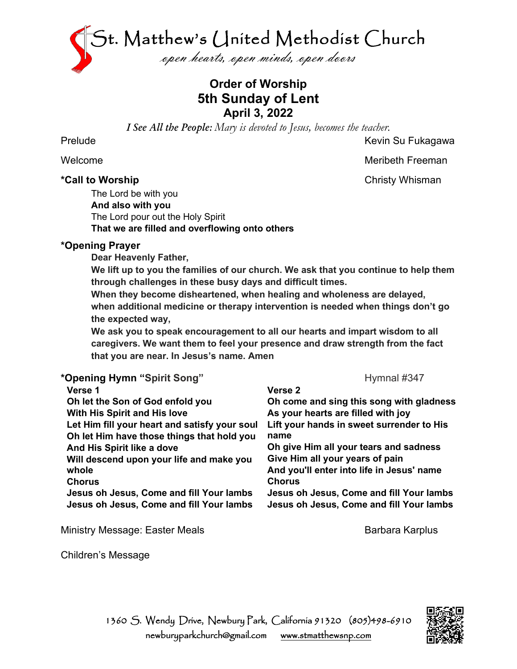

# **Order of Worship 5th Sunday of Lent April 3, 2022**

*I See All the People: Mary is devoted to Jesus, becomes the teacher.*

Prelude **Kevin Su Fukagawa** 

Welcome **Merits and Merits and Meribeth Freeman** 

## \*Call to Worship **Call to Worship Christy Whisman**

The Lord be with you **And also with you** The Lord pour out the Holy Spirit **That we are filled and overflowing onto others**

# **\*Opening Prayer**

**Dear Heavenly Father,**

**We lift up to you the families of our church. We ask that you continue to help them through challenges in these busy days and difficult times.**

**When they become disheartened, when healing and wholeness are delayed, when additional medicine or therapy intervention is needed when things don't go the expected way,**

**We ask you to speak encouragement to all our hearts and impart wisdom to all caregivers. We want them to feel your presence and draw strength from the fact that you are near. In Jesus's name. Amen**

| *Opening Hymn "Spirit Song"                   | Hymnal #347                               |
|-----------------------------------------------|-------------------------------------------|
| Verse 1                                       | Verse <sub>2</sub>                        |
| Oh let the Son of God enfold you              | Oh come and sing this song with gladness  |
| With His Spirit and His love                  | As your hearts are filled with joy        |
| Let Him fill your heart and satisfy your soul | Lift your hands in sweet surrender to His |
| Oh let Him have those things that hold you    | name                                      |
| And His Spirit like a dove                    | Oh give Him all your tears and sadness    |
| Will descend upon your life and make you      | Give Him all your years of pain           |
| whole                                         | And you'll enter into life in Jesus' name |
| <b>Chorus</b>                                 | <b>Chorus</b>                             |
| Jesus oh Jesus, Come and fill Your lambs      | Jesus oh Jesus, Come and fill Your lambs  |
| Jesus oh Jesus, Come and fill Your lambs      | Jesus oh Jesus, Come and fill Your lambs  |

Ministry Message: Easter Meals Barbara Karplus

Children's Message

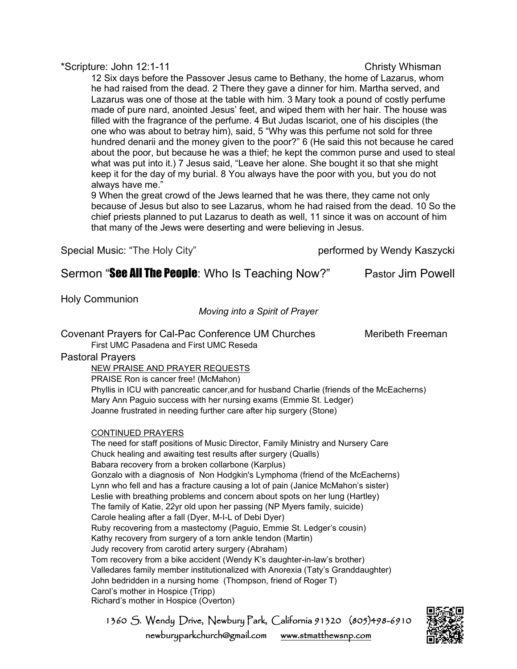### \*Scripture: John 12:1-11 Christy Whisman

12 Six days before the Passover Jesus came to Bethany, the home of Lazarus, whom he had raised from the dead. 2 There they gave a dinner for him. Martha served, and Lazarus was one of those at the table with him. 3 Mary took a pound of costly perfume made of pure nard, anointed Jesus' feet, and wiped them with her hair. The house was filled with the fragrance of the perfume. 4 But Judas Iscariot, one of his disciples (the one who was about to betray him), said, 5 "Why was this perfume not sold for three hundred denarii and the money given to the poor?" 6 (He said this not because he cared about the poor, but because he was a thief; he kept the common purse and used to steal what was put into it.) 7 Jesus said, "Leave her alone. She bought it so that she might keep it for the day of my burial. 8 You always have the poor with you, but you do not always have me."

9 When the great crowd of the Jews learned that he was there, they came not only because of Jesus but also to see Lazarus, whom he had raised from the dead. 10 So the chief priests planned to put Lazarus to death as well, 11 since it was on account of him that many of the Jews were deserting and were believing in Jesus.

Special Music: "The Holy City" entity berformed by Wendy Kaszycki

# Sermon "See All The People: Who Is Teaching Now?" Pastor Jim Powell

Holy Communion

*Moving into a Spirit of Prayer*

Covenant Prayers for Cal-Pac Conference UM Churches Meribeth Freeman

First UMC Pasadena and First UMC Reseda Pastoral Prayers

NEW PRAISE AND PRAYER REQUESTS

PRAISE Ron is cancer free! (McMahon)

Phyllis in ICU with pancreatic cancer,and for husband Charlie (friends of the McEacherns) Mary Ann Paguio success with her nursing exams (Emmie St. Ledger) Joanne frustrated in needing further care after hip surgery (Stone)

#### CONTINUED PRAYERS

The need for staff positions of Music Director, Family Ministry and Nursery Care Chuck healing and awaiting test results after surgery (Qualls) Babara recovery from a broken collarbone (Karplus) Gonzalo with a diagnosis of Non Hodgkin's Lymphoma (friend of the McEacherns) Lynn who fell and has a fracture causing a lot of pain (Janice McMahon's sister) Leslie with breathing problems and concern about spots on her lung (Hartley) The family of Katie, 22yr old upon her passing (NP Myers family, suicide) Carole healing after a fall (Dyer, M-I-L of Debi Dyer) Ruby recovering from a mastectomy (Paguio, Emmie St. Ledger's cousin) Kathy recovery from surgery of a torn ankle tendon (Martin) Judy recovery from carotid artery surgery (Abraham) Tom recovery from a bike accident (Wendy K's daughter-in-law's brother) Valledares family member institutionalized with Anorexia (Taty's Granddaughter) John bedridden in a nursing home (Thompson, friend of Roger T) Carol's mother in Hospice (Tripp) Richard's mother in Hospice (Overton)

1360 S. Wendy Drive, Newbury Park, California 91320 (805)498-6910 newburyparkchurch@gmail.com [www.stmatthewsnp.com](http://www.stmatthewsnp.com/)

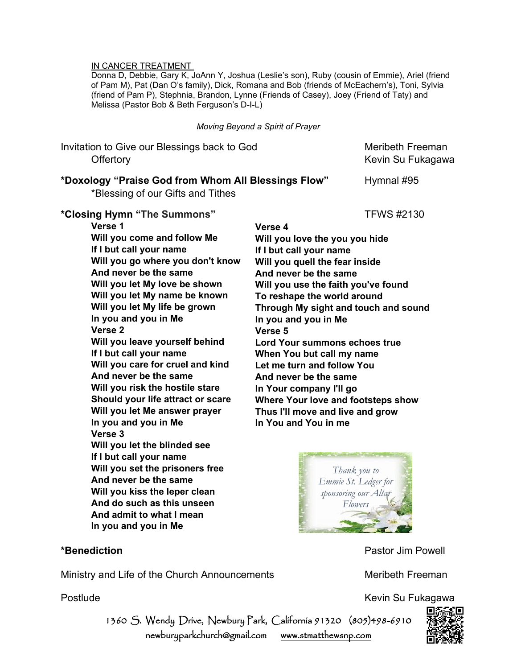#### IN CANCER TREATMENT

Donna D, Debbie, Gary K, JoAnn Y, Joshua (Leslie's son), Ruby (cousin of Emmie), Ariel (friend of Pam M), Pat (Dan O's family), Dick, Romana and Bob (friends of McEachern's), Toni, Sylvia (friend of Pam P), Stephnia, Brandon, Lynne (Friends of Casey), Joey (Friend of Taty) and Melissa (Pastor Bob & Beth Ferguson's D-I-L)

#### *Moving Beyond a Spirit of Prayer*

| Invitation to Give our Blessings back to God                                             | <b>Meribeth Freeman</b> |
|------------------------------------------------------------------------------------------|-------------------------|
| <b>Offertory</b>                                                                         | Kevin Su Fukagawa       |
| *Doxology "Praise God from Whom All Blessings Flow"<br>*Blessing of our Gifts and Tithes | Hymnal #95              |

**\*Closing Hymn "The Summons"** TFWS #2130

**Verse 1 Will you come and follow Me If I but call your name Will you go where you don't know And never be the same Will you let My love be shown Will you let My name be known Will you let My life be grown In you and you in Me Verse 2 Will you leave yourself behind If I but call your name Will you care for cruel and kind And never be the same Will you risk the hostile stare Should your life attract or scare Will you let Me answer prayer In you and you in Me Verse 3 Will you let the blinded see If I but call your name Will you set the prisoners free And never be the same Will you kiss the leper clean And do such as this unseen And admit to what I mean In you and you in Me**

**Verse 4 Will you love the you you hide If I but call your name Will you quell the fear inside And never be the same Will you use the faith you've found To reshape the world around Through My sight and touch and sound In you and you in Me Verse 5 Lord Your summons echoes true When You but call my name Let me turn and follow You And never be the same In Your company I'll go Where Your love and footsteps show Thus I'll move and live and grow In You and You in me**



Ministry and Life of the Church Announcements **Mentity** Meribeth Freeman

**\*Benediction** Pastor Jim Powell

Postlude **Kevin Su Fukagawa** 

1360 S. Wendy Drive, Newbury Park, California 91320 (805)498-6910 newburyparkchurch@gmail.com [www.stmatthewsnp.com](http://www.stmatthewsnp.com/)